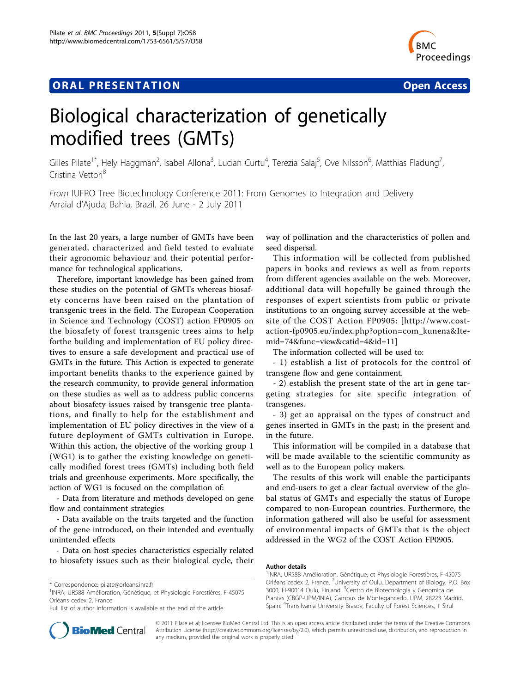## **ORAL PRESENTATION CONSUMING ACCESS**



# Biological characterization of genetically modified trees (GMTs)

Gilles Pilate<sup>1\*</sup>, Hely Haggman<sup>2</sup>, Isabel Allona<sup>3</sup>, Lucian Curtu<sup>4</sup>, Terezia Salaj<sup>5</sup>, Ove Nilsson<sup>6</sup>, Matthias Fladung<sup>7</sup> , Cristina Vettori<sup>8</sup>

From IUFRO Tree Biotechnology Conference 2011: From Genomes to Integration and Delivery Arraial d'Ajuda, Bahia, Brazil. 26 June - 2 July 2011

In the last 20 years, a large number of GMTs have been generated, characterized and field tested to evaluate their agronomic behaviour and their potential performance for technological applications.

Therefore, important knowledge has been gained from these studies on the potential of GMTs whereas biosafety concerns have been raised on the plantation of transgenic trees in the field. The European Cooperation in Science and Technology (COST) action FP0905 on the biosafety of forest transgenic trees aims to help forthe building and implementation of EU policy directives to ensure a safe development and practical use of GMTs in the future. This Action is expected to generate important benefits thanks to the experience gained by the research community, to provide general information on these studies as well as to address public concerns about biosafety issues raised by transgenic tree plantations, and finally to help for the establishment and implementation of EU policy directives in the view of a future deployment of GMTs cultivation in Europe. Within this action, the objective of the working group 1 (WG1) is to gather the existing knowledge on genetically modified forest trees (GMTs) including both field trials and greenhouse experiments. More specifically, the action of WG1 is focused on the compilation of:

- Data from literature and methods developed on gene flow and containment strategies

- Data available on the traits targeted and the function of the gene introduced, on their intended and eventually unintended effects

- Data on host species characteristics especially related to biosafety issues such as their biological cycle, their

Full list of author information is available at the end of the article



way of pollination and the characteristics of pollen and seed dispersal.

This information will be collected from published papers in books and reviews as well as from reports from different agencies available on the web. Moreover, additional data will hopefully be gained through the responses of expert scientists from public or private institutions to an ongoing survey accessible at the website of the COST Action FP0905: [[http://www.cost](http://www.cost-action-fp0905.eu/index.php?option=com_kunena&Itemid=74&func=view&catid=4&id=11)[action-fp0905.eu/index.php?option=com\\_kunena&Ite](http://www.cost-action-fp0905.eu/index.php?option=com_kunena&Itemid=74&func=view&catid=4&id=11)[mid=74&func=view&catid=4&id=11\]](http://www.cost-action-fp0905.eu/index.php?option=com_kunena&Itemid=74&func=view&catid=4&id=11)

The information collected will be used to:

- 1) establish a list of protocols for the control of transgene flow and gene containment.

- 2) establish the present state of the art in gene targeting strategies for site specific integration of transgenes.

- 3) get an appraisal on the types of construct and genes inserted in GMTs in the past; in the present and in the future.

This information will be compiled in a database that will be made available to the scientific community as well as to the European policy makers.

The results of this work will enable the participants and end-users to get a clear factual overview of the global status of GMTs and especially the status of Europe compared to non-European countries. Furthermore, the information gathered will also be useful for assessment of environmental impacts of GMTs that is the object addressed in the WG2 of the COST Action FP0905.

#### Author details

<sup>1</sup>INRA, UR588 Amélioration, Génétique, et Physiologie Forestières, F-45075 Orléans cedex 2, France. <sup>2</sup>University of Oulu, Department of Biology, P.O. Box 3000, FI-90014 Oulu, Finland. <sup>3</sup>Centro de Biotecnologia y Genomica de Plantas (CBGP-UPM/INIA), Campus de Montegancedo, UPM, 28223 Madrid, Spain. <sup>4</sup> Transilvania University Brasov, Faculty of Forest Sciences, 1 Sirul

© 2011 Pilate et al; licensee BioMed Central Ltd. This is an open access article distributed under the terms of the Creative Commons Attribution License [\(http://creativecommons.org/licenses/by/2.0](http://creativecommons.org/licenses/by/2.0)), which permits unrestricted use, distribution, and reproduction in any medium, provided the original work is properly cited.

<sup>\*</sup> Correspondence: [pilate@orleans.inra.fr](mailto:pilate@orleans.inra.fr)

<sup>&</sup>lt;sup>1</sup>INRA, UR588 Amélioration, Génétique, et Physiologie Forestières, F-45075 Orléans cedex 2, France